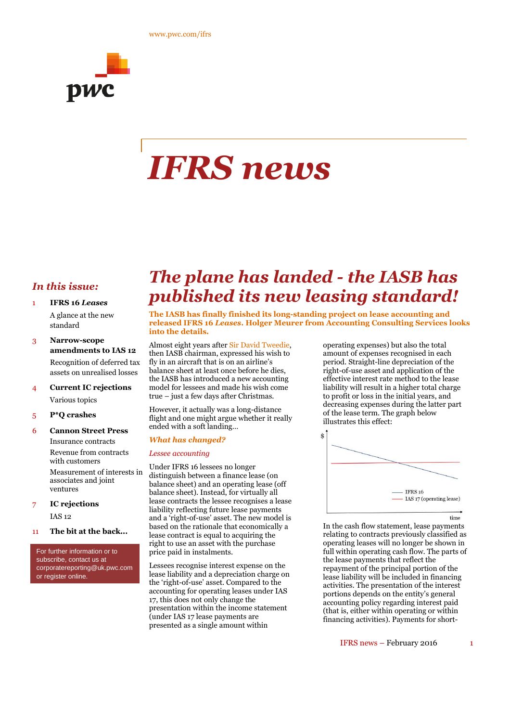

# *IFRS news*

#### *In this issue:*

- 1 **IFRS 16** *Leases*
	- A glance at the new standard
- 3 **Narrow-scope amendments to IAS 12** Recognition of deferred tax assets on unrealised losses
- 4 **Current IC rejections** Various topics
- 5 **P\*Q crashes**
- 6 **Cannon Street Press**

Insurance contracts Revenue from contracts with customers Measurement of interests in associates and joint

ventures 7 **IC rejections**

IAS 12

11 **The bit at the back...**

For further information or to subscribe, contact us at corporatereporting@uk.pwc.com or register online.

## *The plane has landed - the IASB has published its new leasing standard!*

**The IASB has finally finished its long-standing project on lease accounting and released IFRS 16** *Leases***. Holger Meurer from Accounting Consulting Services looks into the details.**

Almost eight years after Sir David Tweedie, then IASB chairman, expressed his wish to fly in an aircraft that is on an airline's balance sheet at least once before he dies, the IASB has introduced a new accounting model for lessees and made his wish come true – just a few days after Christmas.

However, it actually was a long-distance flight and one might argue whether it really ended with a soft landing…

#### *What has changed?*

#### *Lessee accounting*

Under IFRS 16 lessees no longer distinguish between a finance lease (on balance sheet) and an operating lease (off balance sheet). Instead, for virtually all lease contracts the lessee recognises a lease liability reflecting future lease payments and a 'right-of-use' asset. The new model is based on the rationale that economically a lease contract is equal to acquiring the right to use an asset with the purchase price paid in instalments.

Lessees recognise interest expense on the lease liability and a depreciation charge on the 'right-of-use' asset. Compared to the accounting for operating leases under IAS 17, this does not only change the presentation within the income statement (under IAS 17 lease payments are presented as a single amount within

operating expenses) but also the total amount of expenses recognised in each period. Straight-line depreciation of the right-of-use asset and application of the effective interest rate method to the lease liability will result in a higher total charge to profit or loss in the initial years, and decreasing expenses during the latter part of the lease term. The graph below illustrates this effect:



In the cash flow statement, lease payments relating to contracts previously classified as operating leases will no longer be shown in full within operating cash flow. The parts of the lease payments that reflect the repayment of the principal portion of the lease liability will be included in financing activities. The presentation of the interest portions depends on the entity's general accounting policy regarding interest paid (that is, either within operating or within financing activities). Payments for short-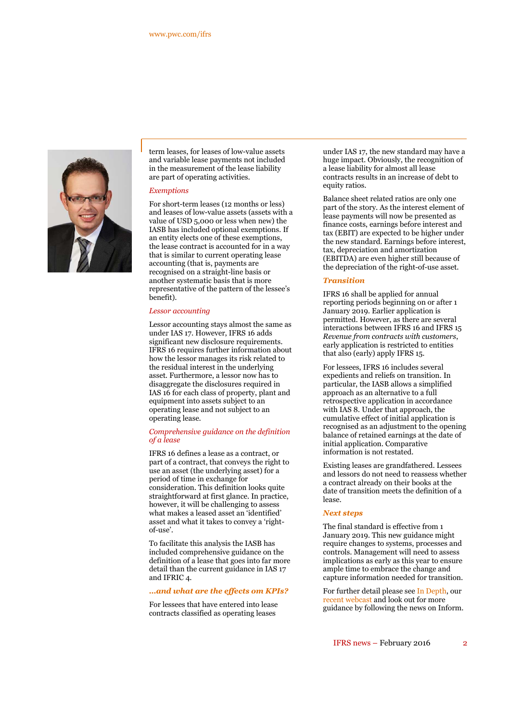

term leases, for leases of low-value assets and variable lease payments not included in the measurement of the lease liability are part of operating activities.

#### *Exemptions*

For short-term leases (12 months or less) and leases of low-value assets (assets with a value of USD 5,000 or less when new) the IASB has included optional exemptions. If an entity elects one of these exemptions, the lease contract is accounted for in a way that is similar to current operating lease accounting (that is, payments are recognised on a straight-line basis or another systematic basis that is more representative of the pattern of the lessee's benefit).

#### *Lessor accounting*

Lessor accounting stays almost the same as under IAS 17. However, IFRS 16 adds significant new disclosure requirements. IFRS 16 requires further information about how the lessor manages its risk related to the residual interest in the underlying asset. Furthermore, a lessor now has to disaggregate the disclosures required in IAS 16 for each class of property, plant and equipment into assets subject to an operating lease and not subject to an operating lease.

#### *Comprehensive guidance on the definition of a lease*

IFRS 16 defines a lease as a contract, or part of a contract, that conveys the right to use an asset (the underlying asset) for a period of time in exchange for consideration. This definition looks quite straightforward at first glance. In practice, however, it will be challenging to assess what makes a leased asset an 'identified' asset and what it takes to convey a 'rightof-use'.

To facilitate this analysis the IASB has included comprehensive guidance on the definition of a lease that goes into far more detail than the current guidance in IAS 17 and IFRIC 4.

#### *…and what are the effects om KPIs?*

For lessees that have entered into lease contracts classified as operating leases

under IAS 17, the new standard may have a huge impact. Obviously, the recognition of a lease liability for almost all lease contracts results in an increase of debt to equity ratios.

Balance sheet related ratios are only one part of the story. As the interest element of lease payments will now be presented as finance costs, earnings before interest and tax (EBIT) are expected to be higher under the new standard. Earnings before interest, tax, depreciation and amortization (EBITDA) are even higher still because of the depreciation of the right-of-use asset.

#### *Transition*

IFRS 16 shall be applied for annual reporting periods beginning on or after 1 January 2019. Earlier application is permitted. However, as there are several interactions between IFRS 16 and IFRS 15 *Revenue from contracts with customers*, early application is restricted to entities that also (early) apply IFRS 15.

For lessees, IFRS 16 includes several expedients and reliefs on transition. In particular, the IASB allows a simplified approach as an alternative to a full retrospective application in accordance with IAS 8. Under that approach, the cumulative effect of initial application is recognised as an adjustment to the opening balance of retained earnings at the date of initial application. Comparative information is not restated.

Existing leases are grandfathered. Lessees and lessors do not need to reassess whether a contract already on their books at the date of transition meets the definition of a lease.

#### *Next steps*

The final standard is effective from 1 January 2019. This new guidance might require changes to systems, processes and controls. Management will need to assess implications as early as this year to ensure ample time to embrace the change and capture information needed for transition.

For further detail please see In Depth, our recent webcast and look out for more guidance by following the news on Inform.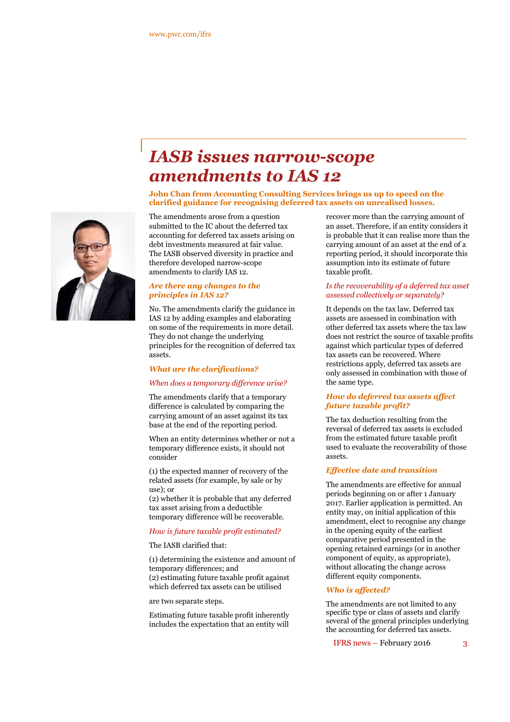## *IASB issues narrow-scope amendments to IAS 12*

**John Chan from Accounting Consulting Services brings us up to speed on the clarified guidance for recognising deferred tax assets on unrealised losses.**

The amendments arose from a question submitted to the IC about the deferred tax accounting for deferred tax assets arising on debt investments measured at fair value. The IASB observed diversity in practice and therefore developed narrow-scope amendments to clarify IAS 12.

#### *Are there any changes to the principles in IAS 12?*

No. The amendments clarify the guidance in IAS 12 by adding examples and elaborating on some of the requirements in more detail. They do not change the underlying principles for the recognition of deferred tax assets.

#### *What are the clarifications?*

#### *When does a temporary difference arise?*

The amendments clarify that a temporary difference is calculated by comparing the carrying amount of an asset against its tax base at the end of the reporting period.

When an entity determines whether or not a temporary difference exists, it should not consider

(1) the expected manner of recovery of the related assets (for example, by sale or by use); or

(2) whether it is probable that any deferred tax asset arising from a deductible temporary difference will be recoverable.

#### *How is future taxable profit estimated?*

The IASB clarified that:

(1) determining the existence and amount of temporary differences; and (2) estimating future taxable profit against which deferred tax assets can be utilised

are two separate steps.

Estimating future taxable profit inherently includes the expectation that an entity will

recover more than the carrying amount of an asset. Therefore, if an entity considers it is probable that it can realise more than the carrying amount of an asset at the end of a reporting period, it should incorporate this assumption into its estimate of future taxable profit.

#### *Is the recoverability of a deferred tax asset assessed collectively or separately?*

It depends on the tax law. Deferred tax assets are assessed in combination with other deferred tax assets where the tax law does not restrict the source of taxable profits against which particular types of deferred tax assets can be recovered. Where restrictions apply, deferred tax assets are only assessed in combination with those of the same type.

#### *How do deferred tax assets affect future taxable profit?*

The tax deduction resulting from the reversal of deferred tax assets is excluded from the estimated future taxable profit used to evaluate the recoverability of those assets.

#### *Effective date and transition*

The amendments are effective for annual periods beginning on or after 1 January 2017. Earlier application is permitted. An entity may, on initial application of this amendment, elect to recognise any change in the opening equity of the earliest comparative period presented in the opening retained earnings (or in another component of equity, as appropriate), without allocating the change across different equity components.

#### *Who is affected?*

The amendments are not limited to any specific type or class of assets and clarify several of the general principles underlying the accounting for deferred tax assets.

IFRS news – February 2016 3

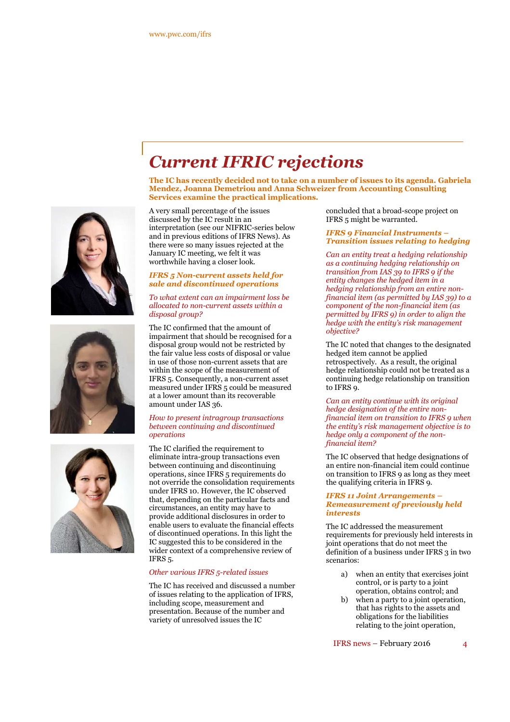# *Current IFRIC rejections*

**The IC has recently decided not to take on a number of issues to its agenda. Gabriela Mendez, Joanna Demetriou and Anna Schweizer from Accounting Consulting Services examine the practical implications***.*

A very small percentage of the issues discussed by the IC result in an interpretation (see our NIFRIC-series below and in previous editions of IFRS News). As there were so many issues rejected at the January IC meeting, we felt it was worthwhile having a closer look.

#### *IFRS 5 Non-current assets held for sale and discontinued operations*

#### *To what extent can an impairment loss be allocated to non-current assets within a disposal group?*

The IC confirmed that the amount of impairment that should be recognised for a disposal group would not be restricted by the fair value less costs of disposal or value in use of those non-current assets that are within the scope of the measurement of IFRS 5. Consequently, a non-current asset measured under IFRS 5 could be measured at a lower amount than its recoverable amount under IAS 36.

#### *How to present intragroup transactions between continuing and discontinued operations*

The IC clarified the requirement to eliminate intra-group transactions even between continuing and discontinuing operations, since IFRS 5 requirements do not override the consolidation requirements under IFRS 10. However, the IC observed that, depending on the particular facts and circumstances, an entity may have to provide additional disclosures in order to enable users to evaluate the financial effects of discontinued operations. In this light the IC suggested this to be considered in the wider context of a comprehensive review of IFRS 5.

#### *Other various IFRS 5-related issues*

The IC has received and discussed a number of issues relating to the application of IFRS, including scope, measurement and presentation. Because of the number and variety of unresolved issues the IC

concluded that a broad-scope project on IFRS 5 might be warranted.

#### *IFRS 9 Financial Instruments – Transition issues relating to hedging*

*Can an entity treat a hedging relationship as a continuing hedging relationship on transition from IAS 39 to IFRS 9 if the entity changes the hedged item in a hedging relationship from an entire nonfinancial item (as permitted by IAS 39) to a component of the non-financial item (as permitted by IFRS 9) in order to align the hedge with the entity's risk management objective?*

The IC noted that changes to the designated hedged item cannot be applied retrospectively. As a result, the original hedge relationship could not be treated as a continuing hedge relationship on transition to IFRS 9.

*Can an entity continue with its original hedge designation of the entire nonfinancial item on transition to IFRS 9 when the entity's risk management objective is to hedge only a component of the nonfinancial item?*

The IC observed that hedge designations of an entire non-financial item could continue on transition to IFRS 9 as long as they meet the qualifying criteria in IFRS 9.

#### *IFRS 11 Joint Arrangements – Remeasurement of previously held interests*

The IC addressed the measurement requirements for previously held interests in joint operations that do not meet the definition of a business under IFRS 3 in two scenarios:

- a) when an entity that exercises joint control, or is party to a joint operation, obtains control; and
- b) when a party to a joint operation, that has rights to the assets and obligations for the liabilities relating to the joint operation,

IFRS news – February 2016 4



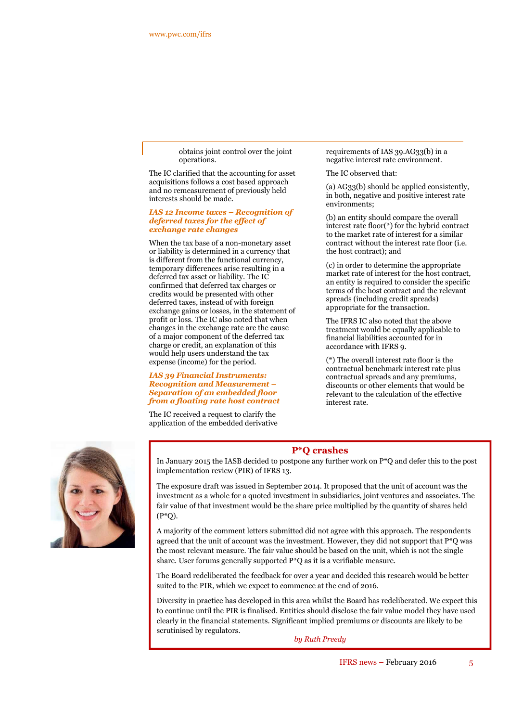obtains joint control over the joint operations.

The IC clarified that the accounting for asset acquisitions follows a cost based approach and no remeasurement of previously held interests should be made.

#### *IAS 12 Income taxes – Recognition of deferred taxes for the effect of exchange rate changes*

When the tax base of a non-monetary asset or liability is determined in a currency that is different from the functional currency, temporary differences arise resulting in a deferred tax asset or liability. The IC confirmed that deferred tax charges or credits would be presented with other deferred taxes, instead of with foreign exchange gains or losses, in the statement of profit or loss. The IC also noted that when changes in the exchange rate are the cause of a major component of the deferred tax charge or credit, an explanation of this would help users understand the tax expense (income) for the period.

#### *IAS 39 Financial Instruments: Recognition and Measurement – Separation of an embedded floor from a floating rate host contract*

The IC received a request to clarify the application of the embedded derivative requirements of IAS 39.AG33(b) in a negative interest rate environment.

The IC observed that:

(a) AG33(b) should be applied consistently, in both, negative and positive interest rate environments;

(b) an entity should compare the overall interest rate floor(\*) for the hybrid contract to the market rate of interest for a similar contract without the interest rate floor (i.e. the host contract); and

(c) in order to determine the appropriate market rate of interest for the host contract, an entity is required to consider the specific terms of the host contract and the relevant spreads (including credit spreads) appropriate for the transaction.

The IFRS IC also noted that the above treatment would be equally applicable to financial liabilities accounted for in accordance with IFRS 9.

(\*) The overall interest rate floor is the contractual benchmark interest rate plus contractual spreads and any premiums, discounts or other elements that would be relevant to the calculation of the effective interest rate.



#### **P\*Q crashes**

In January 2015 the IASB decided to postpone any further work on P\*Q and defer this to the post implementation review (PIR) of IFRS 13.

The exposure draft was issued in September 2014. It proposed that the unit of account was the investment as a whole for a quoted investment in subsidiaries, joint ventures and associates. The fair value of that investment would be the share price multiplied by the quantity of shares held  $(P^*O)$ .

A majority of the comment letters submitted did not agree with this approach. The respondents agreed that the unit of account was the investment. However, they did not support that  $P^*Q$  was the most relevant measure. The fair value should be based on the unit, which is not the single share. User forums generally supported P\*Q as it is a verifiable measure.

The Board redeliberated the feedback for over a year and decided this research would be better suited to the PIR, which we expect to commence at the end of 2016.

Diversity in practice has developed in this area whilst the Board has redeliberated. We expect this to continue until the PIR is finalised. Entities should disclose the fair value model they have used clearly in the financial statements. Significant implied premiums or discounts are likely to be scrutinised by regulators.

*by Ruth Preedy*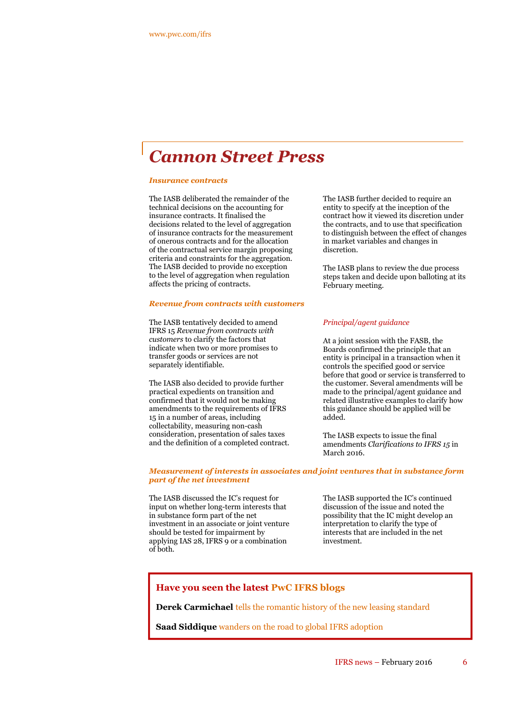### *Cannon Street Press*

#### *Insurance contracts*

The IASB deliberated the remainder of the technical decisions on the accounting for insurance contracts. It finalised the decisions related to the level of aggregation of insurance contracts for the measurement of onerous contracts and for the allocation of the contractual service margin proposing criteria and constraints for the aggregation. The IASB decided to provide no exception to the level of aggregation when regulation affects the pricing of contracts.

#### *Revenue from contracts with customers*

The IASB tentatively decided to amend IFRS 15 *Revenue from contracts with customers* to clarify the factors that indicate when two or more promises to transfer goods or services are not separately identifiable.

The IASB also decided to provide further practical expedients on transition and confirmed that it would not be making amendments to the requirements of IFRS 15 in a number of areas, including collectability, measuring non-cash consideration, presentation of sales taxes and the definition of a completed contract. The IASB further decided to require an entity to specify at the inception of the contract how it viewed its discretion under the contracts, and to use that specification to distinguish between the effect of changes in market variables and changes in discretion.

The IASB plans to review the due process steps taken and decide upon balloting at its February meeting.

#### *Principal/agent guidance*

At a joint session with the FASB, the Boards confirmed the principle that an entity is principal in a transaction when it controls the specified good or service before that good or service is transferred to the customer. Several amendments will be made to the principal/agent guidance and related illustrative examples to clarify how this guidance should be applied will be added.

The IASB expects to issue the final amendments *Clarifications to IFRS 15* in March 2016.

#### *Measurement of interests in associates and joint ventures that in substance form part of the net investment*

The IASB discussed the IC's request for input on whether long-term interests that in substance form part of the net investment in an associate or joint venture should be tested for impairment by applying IAS 28, IFRS 9 or a combination of both.

The IASB supported the IC's continued discussion of the issue and noted the possibility that the IC might develop an interpretation to clarify the type of interests that are included in the net investment.

#### **Have you seen the latest PwC IFRS blogs**

**Derek Carmichael** tells the romantic history of the new leasing standard

**Saad Siddique** wanders on the road to global IFRS adoption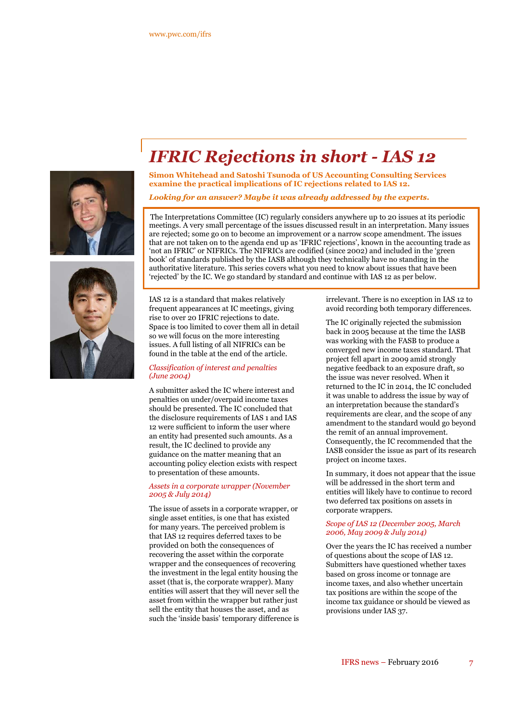



# *IFRIC Rejections in short - IAS 12*

**Simon Whitehead and Satoshi Tsunoda of US Accounting Consulting Services examine the practical implications of IC rejections related to IAS 12.**

*Looking for an answer? Maybe it was already addressed by the experts.*

The Interpretations Committee (IC) regularly considers anywhere up to 20 issues at its periodic meetings. A very small percentage of the issues discussed result in an interpretation. Many issues are rejected; some go on to become an improvement or a narrow scope amendment. The issues that are not taken on to the agenda end up as 'IFRIC rejections', known in the accounting trade as 'not an IFRIC' or NIFRICs. The NIFRICs are codified (since 2002) and included in the 'green book' of standards published by the IASB although they technically have no standing in the authoritative literature. This series covers what you need to know about issues that have been 'rejected' by the IC. We go standard by standard and continue with IAS 12 as per below.

IAS 12 is a standard that makes relatively frequent appearances at IC meetings, giving rise to over 20 IFRIC rejections to date. Space is too limited to cover them all in detail so we will focus on the more interesting issues. A full listing of all NIFRICs can be found in the table at the end of the article.

#### *Classification of interest and penalties (June 2004)*

A submitter asked the IC where interest and penalties on under/overpaid income taxes should be presented. The IC concluded that the disclosure requirements of IAS 1 and IAS 12 were sufficient to inform the user where an entity had presented such amounts. As a result, the IC declined to provide any guidance on the matter meaning that an accounting policy election exists with respect to presentation of these amounts.

#### *Assets in a corporate wrapper (November 2005 & July 2014)*

The issue of assets in a corporate wrapper, or single asset entities, is one that has existed for many years. The perceived problem is that IAS 12 requires deferred taxes to be provided on both the consequences of recovering the asset within the corporate wrapper and the consequences of recovering the investment in the legal entity housing the asset (that is, the corporate wrapper). Many entities will assert that they will never sell the asset from within the wrapper but rather just sell the entity that houses the asset, and as such the 'inside basis' temporary difference is irrelevant. There is no exception in IAS 12 to avoid recording both temporary differences.

The IC originally rejected the submission back in 2005 because at the time the IASB was working with the FASB to produce a converged new income taxes standard. That project fell apart in 2009 amid strongly negative feedback to an exposure draft, so the issue was never resolved. When it returned to the IC in 2014, the IC concluded it was unable to address the issue by way of an interpretation because the standard's requirements are clear, and the scope of any amendment to the standard would go beyond the remit of an annual improvement. Consequently, the IC recommended that the IASB consider the issue as part of its research project on income taxes.

In summary, it does not appear that the issue will be addressed in the short term and entities will likely have to continue to record two deferred tax positions on assets in corporate wrappers.

#### *Scope of IAS 12 (December 2005, March 2006, May 2009 & July 2014)*

Over the years the IC has received a number of questions about the scope of IAS 12. Submitters have questioned whether taxes based on gross income or tonnage are income taxes, and also whether uncertain tax positions are within the scope of the income tax guidance or should be viewed as provisions under IAS 37.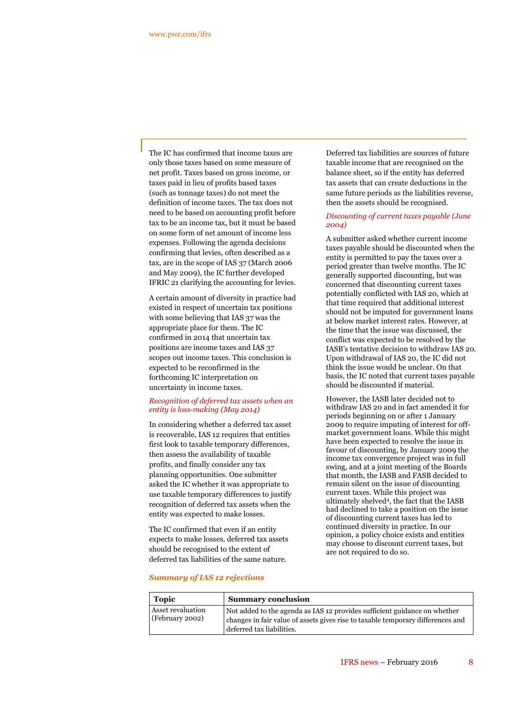The IC has confirmed that income taxes are only those taxes based on some measure of net profit. Taxes based on gross income, or taxes paid in lieu of profits based taxes (such as tonnage taxes) do not meet the definition of income taxes. The tax does not need to be based on accounting profit before tax to be an income tax, but it must be based on some form of net amount of income less expenses. Following the agenda decisions confirming that levies, often described as a tax, are in the scope of IAS 37 (March 2006 and May 2009), the IC further developed IFRIC 21 clarifying the accounting for levies.

A certain amount of diversity in practice had existed in respect of uncertain tax positions with some believing that IAS 37 was the appropriate place for them. The IC confirmed in 2014 that uncertain tax positions are income taxes and IAS 37 scopes out income taxes. This conclusion is expected to be reconfirmed in the forthcoming IC interpretation on uncertainty in income taxes.

#### *Recognition of deferred tax assets when an entity is loss-making (May 2014)*

In considering whether a deferred tax asset is recoverable, IAS 12 requires that entities first look to taxable temporary differences, then assess the availability of taxable profits, and finally consider any tax planning opportunities. One submitter asked the IC whether it was appropriate to use taxable temporary differences to justify recognition of deferred tax assets when the entity was expected to make losses.

The IC confirmed that even if an entity expects to make losses, deferred tax assets should be recognised to the extent of deferred tax liabilities of the same nature.

Deferred tax liabilities are sources of future taxable income that are recognised on the balance sheet, so if the entity has deferred tax assets that can create deductions in the same future periods as the liabilities reverse, then the assets should be recognised.

#### *Discounting of current taxes payable (June 2004)*

A submitter asked whether current income taxes payable should be discounted when the entity is permitted to pay the taxes over a period greater than twelve months. The IC generally supported discounting, but was concerned that discounting current taxes potentially conflicted with IAS 20, which at that time required that additional interest should not be imputed for government loans at below market interest rates. However, at the time that the issue was discussed, the conflict was expected to be resolved by the IASB's tentative decision to withdraw IAS 20. Upon withdrawal of IAS 20, the IC did not think the issue would be unclear. On that basis, the IC noted that current taxes payable should be discounted if material.

However, the IASB later decided not to withdraw IAS 20 and in fact amended it for periods beginning on or after 1 January 2009 to require imputing of interest for offmarket government loans. While this might have been expected to resolve the issue in favour of discounting, by January 2009 the income tax convergence project was in full swing, and at a joint meeting of the Boards that month, the IASB and FASB decided to remain silent on the issue of discounting current taxes. While this project was ultimately shelved<sup>4</sup>, the fact that the IASB had declined to take a position on the issue of discounting current taxes has led to continued diversity in practice. In our opinion, a policy choice exists and entities may choose to discount current taxes, but are not required to do so.

#### *Summary of IAS 12 rejections*

| <b>Topic</b>                         | <b>Summary conclusion</b>                                                                                                                                                                 |
|--------------------------------------|-------------------------------------------------------------------------------------------------------------------------------------------------------------------------------------------|
| Asset revaluation<br>(February 2002) | Not added to the agenda as IAS 12 provides sufficient guidance on whether<br>changes in fair value of assets gives rise to taxable temporary differences and<br>deferred tax liabilities. |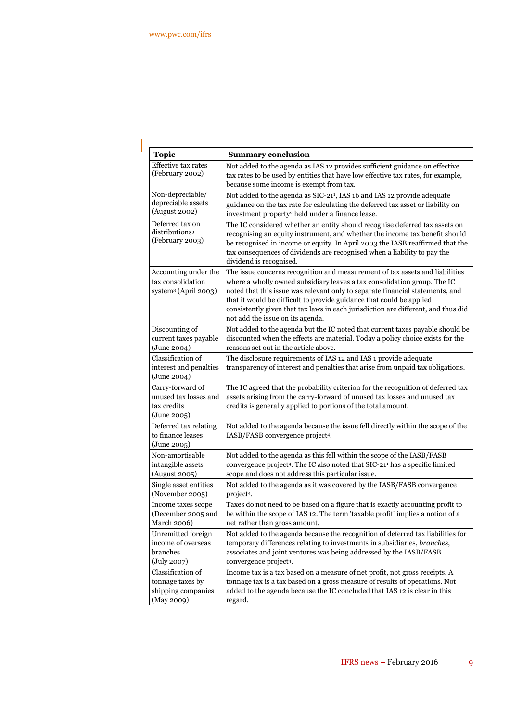| <b>Topic</b>                                                                  | <b>Summary conclusion</b>                                                                                                                                                                                                                                                                                                                                                                                                                  |
|-------------------------------------------------------------------------------|--------------------------------------------------------------------------------------------------------------------------------------------------------------------------------------------------------------------------------------------------------------------------------------------------------------------------------------------------------------------------------------------------------------------------------------------|
| Effective tax rates<br>(February 2002)                                        | Not added to the agenda as IAS 12 provides sufficient guidance on effective<br>tax rates to be used by entities that have low effective tax rates, for example,<br>because some income is exempt from tax.                                                                                                                                                                                                                                 |
| Non-depreciable/                                                              | Not added to the agenda as SIC-21 <sup>1</sup> , IAS 16 and IAS 12 provide adequate                                                                                                                                                                                                                                                                                                                                                        |
| depreciable assets                                                            | guidance on the tax rate for calculating the deferred tax asset or liability on                                                                                                                                                                                                                                                                                                                                                            |
| (August 2002)                                                                 | investment property <sup>2</sup> held under a finance lease.                                                                                                                                                                                                                                                                                                                                                                               |
| Deferred tax on<br>distributions <sup>3</sup><br>(February 2003)              | The IC considered whether an entity should recognise deferred tax assets on<br>recognising an equity instrument, and whether the income tax benefit should<br>be recognised in income or equity. In April 2003 the IASB reaffirmed that the<br>tax consequences of dividends are recognised when a liability to pay the<br>dividend is recognised.                                                                                         |
| Accounting under the<br>tax consolidation<br>system <sup>3</sup> (April 2003) | The issue concerns recognition and measurement of tax assets and liabilities<br>where a wholly owned subsidiary leaves a tax consolidation group. The IC<br>noted that this issue was relevant only to separate financial statements, and<br>that it would be difficult to provide guidance that could be applied<br>consistently given that tax laws in each jurisdiction are different, and thus did<br>not add the issue on its agenda. |
| Discounting of                                                                | Not added to the agenda but the IC noted that current taxes payable should be                                                                                                                                                                                                                                                                                                                                                              |
| current taxes payable                                                         | discounted when the effects are material. Today a policy choice exists for the                                                                                                                                                                                                                                                                                                                                                             |
| (June 2004)                                                                   | reasons set out in the article above.                                                                                                                                                                                                                                                                                                                                                                                                      |
| Classification of<br>interest and penalties<br>(June 2004)                    | The disclosure requirements of IAS 12 and IAS 1 provide adequate<br>transparency of interest and penalties that arise from unpaid tax obligations.                                                                                                                                                                                                                                                                                         |
| Carry-forward of<br>unused tax losses and<br>tax credits<br>(June 2005)       | The IC agreed that the probability criterion for the recognition of deferred tax<br>assets arising from the carry-forward of unused tax losses and unused tax<br>credits is generally applied to portions of the total amount.                                                                                                                                                                                                             |
| Deferred tax relating<br>to finance leases<br>(June 2005)                     | Not added to the agenda because the issue fell directly within the scope of the<br>IASB/FASB convergence project4.                                                                                                                                                                                                                                                                                                                         |
| Non-amortisable                                                               | Not added to the agenda as this fell within the scope of the IASB/FASB                                                                                                                                                                                                                                                                                                                                                                     |
| intangible assets                                                             | convergence project <sup>4</sup> . The IC also noted that SIC-21 <sup>1</sup> has a specific limited                                                                                                                                                                                                                                                                                                                                       |
| (August 2005)                                                                 | scope and does not address this particular issue.                                                                                                                                                                                                                                                                                                                                                                                          |
| Single asset entities                                                         | Not added to the agenda as it was covered by the IASB/FASB convergence                                                                                                                                                                                                                                                                                                                                                                     |
| (November 2005)                                                               | project <sup>4</sup> .                                                                                                                                                                                                                                                                                                                                                                                                                     |
| Income taxes scope                                                            | Taxes do not need to be based on a figure that is exactly accounting profit to                                                                                                                                                                                                                                                                                                                                                             |
| (December 2005 and                                                            | be within the scope of IAS 12. The term 'taxable profit' implies a notion of a                                                                                                                                                                                                                                                                                                                                                             |
| March 2006)                                                                   | net rather than gross amount.                                                                                                                                                                                                                                                                                                                                                                                                              |
| Unremitted foreign                                                            | Not added to the agenda because the recognition of deferred tax liabilities for                                                                                                                                                                                                                                                                                                                                                            |
| income of overseas                                                            | temporary differences relating to investments in subsidiaries, branches,                                                                                                                                                                                                                                                                                                                                                                   |
| branches                                                                      | associates and joint ventures was being addressed by the IASB/FASB                                                                                                                                                                                                                                                                                                                                                                         |
| $(\mathrm{July}\,2007)$                                                       | convergence project <sup>4</sup> .                                                                                                                                                                                                                                                                                                                                                                                                         |
| Classification of                                                             | Income tax is a tax based on a measure of net profit, not gross receipts. A                                                                                                                                                                                                                                                                                                                                                                |
| tonnage taxes by                                                              | tonnage tax is a tax based on a gross measure of results of operations. Not                                                                                                                                                                                                                                                                                                                                                                |
| shipping companies                                                            | added to the agenda because the IC concluded that IAS 12 is clear in this                                                                                                                                                                                                                                                                                                                                                                  |
| (May 2009)                                                                    | regard.                                                                                                                                                                                                                                                                                                                                                                                                                                    |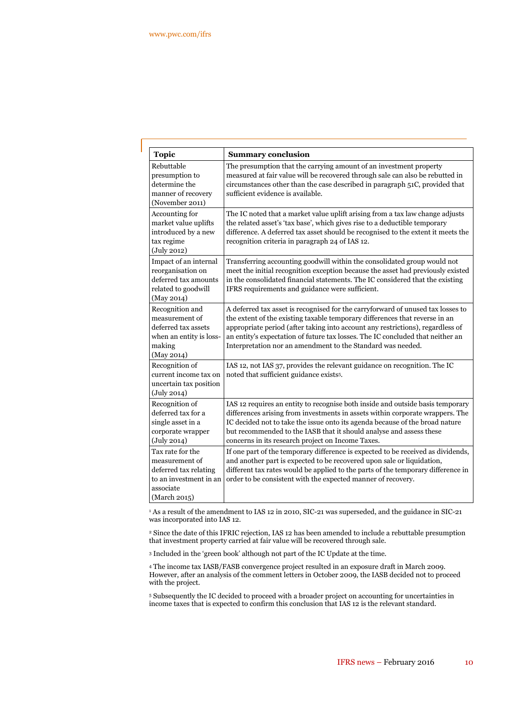| <b>Topic</b>                                                                                                       | <b>Summary conclusion</b>                                                                                                                                                                                                                                                                                                                                                                         |
|--------------------------------------------------------------------------------------------------------------------|---------------------------------------------------------------------------------------------------------------------------------------------------------------------------------------------------------------------------------------------------------------------------------------------------------------------------------------------------------------------------------------------------|
| Rebuttable<br>presumption to<br>determine the<br>manner of recovery<br>(November 2011)                             | The presumption that the carrying amount of an investment property<br>measured at fair value will be recovered through sale can also be rebutted in<br>circumstances other than the case described in paragraph 51C, provided that<br>sufficient evidence is available.                                                                                                                           |
| Accounting for<br>market value uplifts<br>introduced by a new<br>tax regime<br>(July 2012)                         | The IC noted that a market value uplift arising from a tax law change adjusts<br>the related asset's 'tax base', which gives rise to a deductible temporary<br>difference. A deferred tax asset should be recognised to the extent it meets the<br>recognition criteria in paragraph 24 of IAS 12.                                                                                                |
| Impact of an internal<br>reorganisation on<br>deferred tax amounts<br>related to goodwill<br>(May 2014)            | Transferring accounting goodwill within the consolidated group would not<br>meet the initial recognition exception because the asset had previously existed<br>in the consolidated financial statements. The IC considered that the existing<br>IFRS requirements and guidance were sufficient.                                                                                                   |
| Recognition and<br>measurement of<br>deferred tax assets<br>when an entity is loss-<br>making<br>(May 2014)        | A deferred tax asset is recognised for the carryforward of unused tax losses to<br>the extent of the existing taxable temporary differences that reverse in an<br>appropriate period (after taking into account any restrictions), regardless of<br>an entity's expectation of future tax losses. The IC concluded that neither an<br>Interpretation nor an amendment to the Standard was needed. |
| Recognition of<br>current income tax on<br>uncertain tax position<br>$(\mathrm{July\,2014})$                       | IAS 12, not IAS 37, provides the relevant guidance on recognition. The IC<br>noted that sufficient guidance exists <sup>5</sup> .                                                                                                                                                                                                                                                                 |
| Recognition of<br>deferred tax for a<br>single asset in a<br>corporate wrapper<br>$(\mathrm{July}\ 2014)$          | IAS 12 requires an entity to recognise both inside and outside basis temporary<br>differences arising from investments in assets within corporate wrappers. The<br>IC decided not to take the issue onto its agenda because of the broad nature<br>but recommended to the IASB that it should analyse and assess these<br>concerns in its research project on Income Taxes.                       |
| Tax rate for the<br>measurement of<br>deferred tax relating<br>to an investment in an<br>associate<br>(March 2015) | If one part of the temporary difference is expected to be received as dividends,<br>and another part is expected to be recovered upon sale or liquidation,<br>different tax rates would be applied to the parts of the temporary difference in<br>order to be consistent with the expected manner of recovery.                                                                                    |

<sup>1</sup> As a result of the amendment to IAS 12 in 2010, SIC-21 was superseded, and the guidance in SIC-21 was incorporated into IAS 12.

<sup>2</sup> Since the date of this IFRIC rejection, IAS 12 has been amended to include a rebuttable presumption that investment property carried at fair value will be recovered through sale.

<sup>3</sup> Included in the 'green book' although not part of the IC Update at the time.

<sup>4</sup> The income tax IASB/FASB convergence project resulted in an exposure draft in March 2009. However, after an analysis of the comment letters in October 2009, the IASB decided not to proceed with the project.

<sup>5</sup> Subsequently the IC decided to proceed with a broader project on accounting for uncertainties in income taxes that is expected to confirm this conclusion that IAS 12 is the relevant standard.